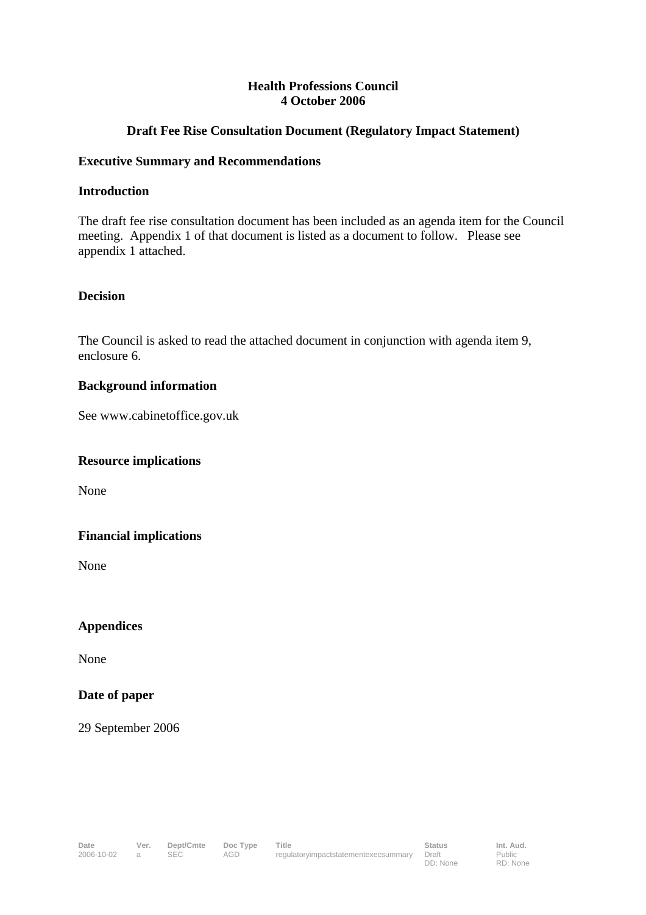## **Health Professions Council 4 October 2006**

# **Draft Fee Rise Consultation Document (Regulatory Impact Statement)**

### **Executive Summary and Recommendations**

### **Introduction**

The draft fee rise consultation document has been included as an agenda item for the Council meeting. Appendix 1 of that document is listed as a document to follow. Please see appendix 1 attached.

# **Decision**

The Council is asked to read the attached document in conjunction with agenda item 9, enclosure 6.

## **Background information**

See www.cabinetoffice.gov.uk

### **Resource implications**

None

# **Financial implications**

None

**Appendices** 

None

# **Date of paper**

29 September 2006